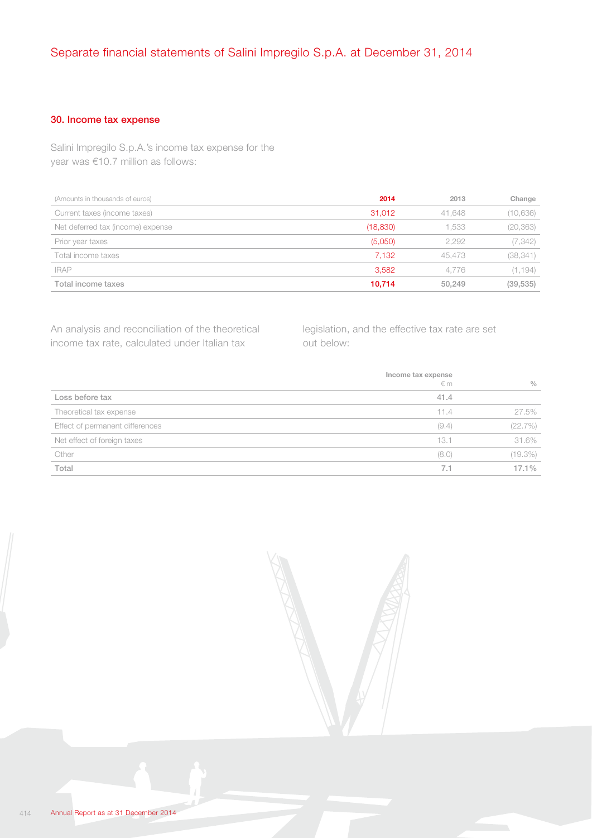## 30. Income tax expense

Salini Impregilo S.p.A.'s income tax expense for the year was €10.7 million as follows:

| (Amounts in thousands of euros)   | 2014      | 2013   | Change    |
|-----------------------------------|-----------|--------|-----------|
| Current taxes (income taxes)      | 31.012    | 41.648 | (10,636)  |
| Net deferred tax (income) expense | (18, 830) | 1.533  | (20, 363) |
| Prior year taxes                  | (5,050)   | 2.292  | (7, 342)  |
| Total income taxes                | 7.132     | 45,473 | (38, 341) |
| <b>IRAP</b>                       | 3,582     | 4.776  | (1, 194)  |
| Total income taxes                | 10.714    | 50,249 | (39, 535) |

An analysis and reconciliation of the theoretical income tax rate, calculated under Italian tax

legislation, and the effective tax rate are set out below:

|                                 | Income tax expense<br>$\notin$ m | $\frac{0}{0}$ |
|---------------------------------|----------------------------------|---------------|
| Loss before tax                 | 41.4                             |               |
| Theoretical tax expense         | 11.4                             | 27.5%         |
| Effect of permanent differences | (9.4)                            | (22.7%)       |
| Net effect of foreign taxes     | 13.1                             | 31.6%         |
| Other                           | (8.0)                            | (19.3%)       |
| Total                           | 7.1                              | $17.1\%$      |